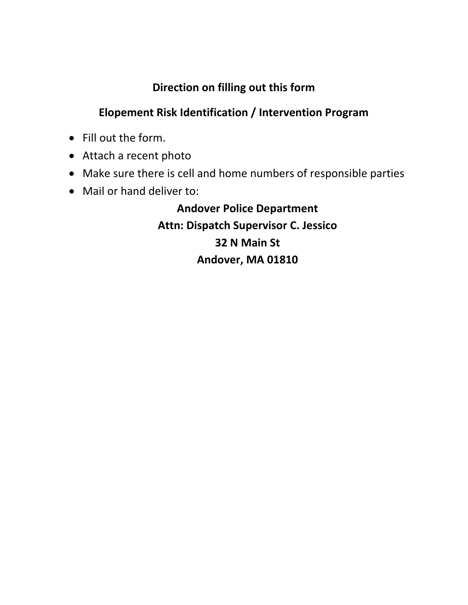## **Direction on filling out this form**

## **Elopement Risk Identification / Intervention Program**

- Fill out the form.
- Attach a recent photo
- Make sure there is cell and home numbers of responsible parties
- Mail or hand deliver to:

**Andover Police Department Attn: Dispatch Supervisor C. Jessico 32 N Main St Andover, MA 01810**